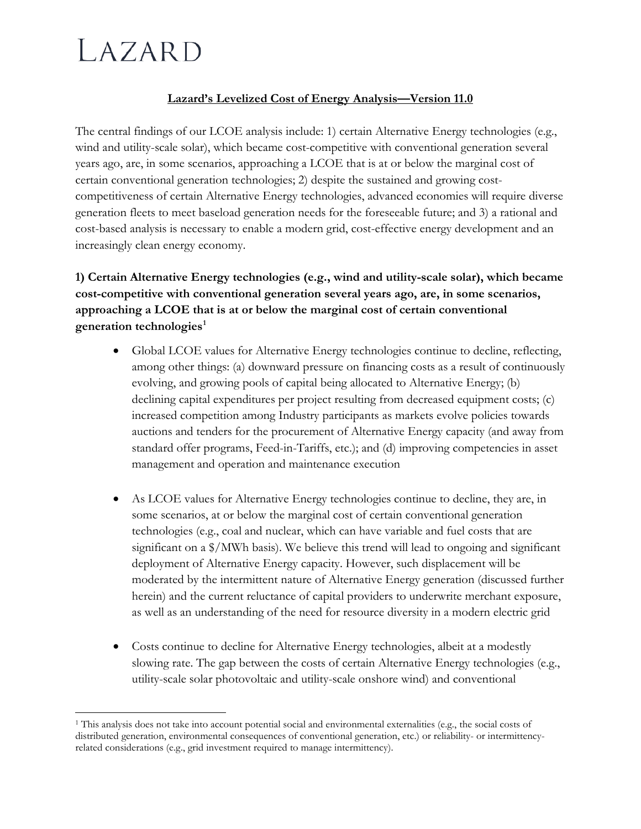# LAZARD

# **Lazard's Levelized Cost of Energy Analysis—Version 11.0**

The central findings of our LCOE analysis include: 1) certain Alternative Energy technologies (e.g., wind and utility-scale solar), which became cost-competitive with conventional generation several years ago, are, in some scenarios, approaching a LCOE that is at or below the marginal cost of certain conventional generation technologies; 2) despite the sustained and growing costcompetitiveness of certain Alternative Energy technologies, advanced economies will require diverse generation fleets to meet baseload generation needs for the foreseeable future; and 3) a rational and cost-based analysis is necessary to enable a modern grid, cost-effective energy development and an increasingly clean energy economy.

# **1) Certain Alternative Energy technologies (e.g., wind and utility-scale solar), which became cost-competitive with conventional generation several years ago, are, in some scenarios, approaching a LCOE that is at or below the marginal cost of certain conventional generation technologies[1](#page-0-0)**

- Global LCOE values for Alternative Energy technologies continue to decline, reflecting, among other things: (a) downward pressure on financing costs as a result of continuously evolving, and growing pools of capital being allocated to Alternative Energy; (b) declining capital expenditures per project resulting from decreased equipment costs; (c) increased competition among Industry participants as markets evolve policies towards auctions and tenders for the procurement of Alternative Energy capacity (and away from standard offer programs, Feed-in-Tariffs, etc.); and (d) improving competencies in asset management and operation and maintenance execution
- As LCOE values for Alternative Energy technologies continue to decline, they are, in some scenarios, at or below the marginal cost of certain conventional generation technologies (e.g., coal and nuclear, which can have variable and fuel costs that are significant on a \$/MWh basis). We believe this trend will lead to ongoing and significant deployment of Alternative Energy capacity. However, such displacement will be moderated by the intermittent nature of Alternative Energy generation (discussed further herein) and the current reluctance of capital providers to underwrite merchant exposure, as well as an understanding of the need for resource diversity in a modern electric grid
- Costs continue to decline for Alternative Energy technologies, albeit at a modestly slowing rate. The gap between the costs of certain Alternative Energy technologies (e.g., utility-scale solar photovoltaic and utility-scale onshore wind) and conventional

<span id="page-0-0"></span> $\overline{a}$ <sup>1</sup> This analysis does not take into account potential social and environmental externalities (e.g., the social costs of distributed generation, environmental consequences of conventional generation, etc.) or reliability- or intermittencyrelated considerations (e.g., grid investment required to manage intermittency).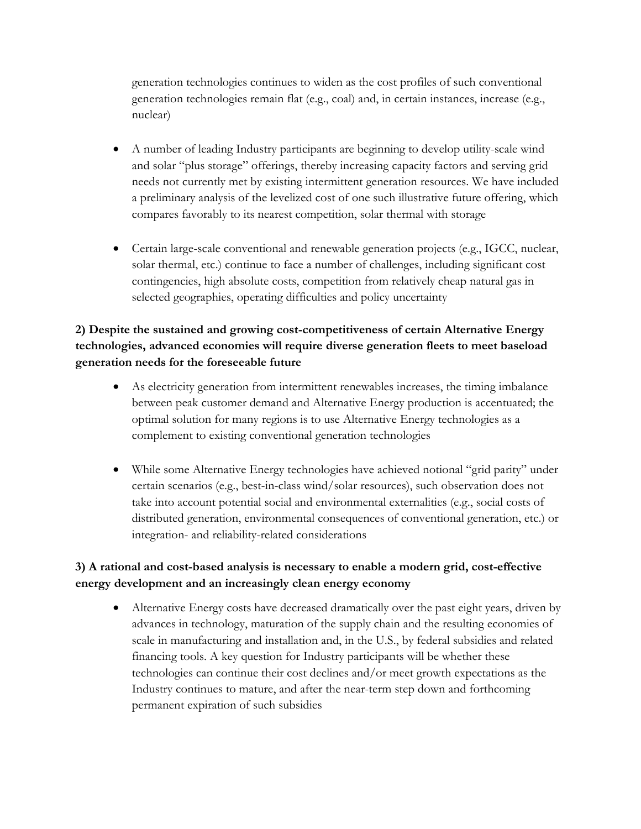generation technologies continues to widen as the cost profiles of such conventional generation technologies remain flat (e.g., coal) and, in certain instances, increase (e.g., nuclear)

- A number of leading Industry participants are beginning to develop utility-scale wind and solar "plus storage" offerings, thereby increasing capacity factors and serving grid needs not currently met by existing intermittent generation resources. We have included a preliminary analysis of the levelized cost of one such illustrative future offering, which compares favorably to its nearest competition, solar thermal with storage
- Certain large-scale conventional and renewable generation projects (e.g., IGCC, nuclear, solar thermal, etc.) continue to face a number of challenges, including significant cost contingencies, high absolute costs, competition from relatively cheap natural gas in selected geographies, operating difficulties and policy uncertainty

### **2) Despite the sustained and growing cost-competitiveness of certain Alternative Energy technologies, advanced economies will require diverse generation fleets to meet baseload generation needs for the foreseeable future**

- As electricity generation from intermittent renewables increases, the timing imbalance between peak customer demand and Alternative Energy production is accentuated; the optimal solution for many regions is to use Alternative Energy technologies as a complement to existing conventional generation technologies
- While some Alternative Energy technologies have achieved notional "grid parity" under certain scenarios (e.g., best-in-class wind/solar resources), such observation does not take into account potential social and environmental externalities (e.g., social costs of distributed generation, environmental consequences of conventional generation, etc.) or integration- and reliability-related considerations

### **3) A rational and cost-based analysis is necessary to enable a modern grid, cost-effective energy development and an increasingly clean energy economy**

• Alternative Energy costs have decreased dramatically over the past eight years, driven by advances in technology, maturation of the supply chain and the resulting economies of scale in manufacturing and installation and, in the U.S., by federal subsidies and related financing tools. A key question for Industry participants will be whether these technologies can continue their cost declines and/or meet growth expectations as the Industry continues to mature, and after the near-term step down and forthcoming permanent expiration of such subsidies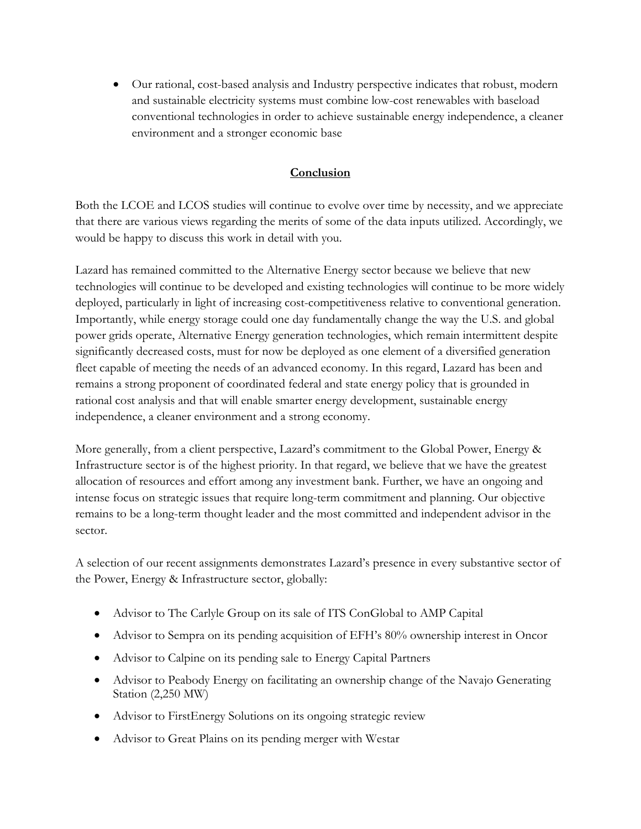• Our rational, cost-based analysis and Industry perspective indicates that robust, modern and sustainable electricity systems must combine low-cost renewables with baseload conventional technologies in order to achieve sustainable energy independence, a cleaner environment and a stronger economic base

#### **Conclusion**

Both the LCOE and LCOS studies will continue to evolve over time by necessity, and we appreciate that there are various views regarding the merits of some of the data inputs utilized. Accordingly, we would be happy to discuss this work in detail with you.

Lazard has remained committed to the Alternative Energy sector because we believe that new technologies will continue to be developed and existing technologies will continue to be more widely deployed, particularly in light of increasing cost-competitiveness relative to conventional generation. Importantly, while energy storage could one day fundamentally change the way the U.S. and global power grids operate, Alternative Energy generation technologies, which remain intermittent despite significantly decreased costs, must for now be deployed as one element of a diversified generation fleet capable of meeting the needs of an advanced economy. In this regard, Lazard has been and remains a strong proponent of coordinated federal and state energy policy that is grounded in rational cost analysis and that will enable smarter energy development, sustainable energy independence, a cleaner environment and a strong economy.

More generally, from a client perspective, Lazard's commitment to the Global Power, Energy & Infrastructure sector is of the highest priority. In that regard, we believe that we have the greatest allocation of resources and effort among any investment bank. Further, we have an ongoing and intense focus on strategic issues that require long-term commitment and planning. Our objective remains to be a long-term thought leader and the most committed and independent advisor in the sector.

A selection of our recent assignments demonstrates Lazard's presence in every substantive sector of the Power, Energy & Infrastructure sector, globally:

- Advisor to The Carlyle Group on its sale of ITS ConGlobal to AMP Capital
- Advisor to Sempra on its pending acquisition of EFH's 80% ownership interest in Oncor
- Advisor to Calpine on its pending sale to Energy Capital Partners
- Advisor to Peabody Energy on facilitating an ownership change of the Navajo Generating Station (2,250 MW)
- Advisor to FirstEnergy Solutions on its ongoing strategic review
- Advisor to Great Plains on its pending merger with Westar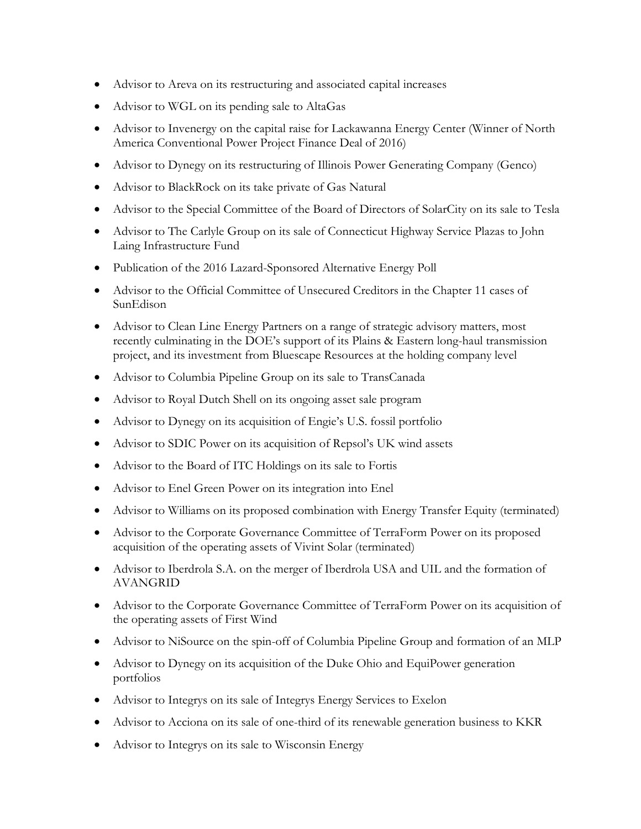- Advisor to Areva on its restructuring and associated capital increases
- Advisor to WGL on its pending sale to AltaGas
- Advisor to Invenergy on the capital raise for Lackawanna Energy Center (Winner of North America Conventional Power Project Finance Deal of 2016)
- Advisor to Dynegy on its restructuring of Illinois Power Generating Company (Genco)
- Advisor to BlackRock on its take private of Gas Natural
- Advisor to the Special Committee of the Board of Directors of SolarCity on its sale to Tesla
- Advisor to The Carlyle Group on its sale of Connecticut Highway Service Plazas to John Laing Infrastructure Fund
- Publication of the 2016 Lazard-Sponsored Alternative Energy Poll
- Advisor to the Official Committee of Unsecured Creditors in the Chapter 11 cases of SunEdison
- Advisor to Clean Line Energy Partners on a range of strategic advisory matters, most recently culminating in the DOE's support of its Plains & Eastern long-haul transmission project, and its investment from Bluescape Resources at the holding company level
- Advisor to Columbia Pipeline Group on its sale to TransCanada
- Advisor to Royal Dutch Shell on its ongoing asset sale program
- Advisor to Dynegy on its acquisition of Engie's U.S. fossil portfolio
- Advisor to SDIC Power on its acquisition of Repsol's UK wind assets
- Advisor to the Board of ITC Holdings on its sale to Fortis
- Advisor to Enel Green Power on its integration into Enel
- Advisor to Williams on its proposed combination with Energy Transfer Equity (terminated)
- Advisor to the Corporate Governance Committee of TerraForm Power on its proposed acquisition of the operating assets of Vivint Solar (terminated)
- Advisor to Iberdrola S.A. on the merger of Iberdrola USA and UIL and the formation of AVANGRID
- Advisor to the Corporate Governance Committee of TerraForm Power on its acquisition of the operating assets of First Wind
- Advisor to NiSource on the spin-off of Columbia Pipeline Group and formation of an MLP
- Advisor to Dynegy on its acquisition of the Duke Ohio and EquiPower generation portfolios
- Advisor to Integrys on its sale of Integrys Energy Services to Exelon
- Advisor to Acciona on its sale of one-third of its renewable generation business to KKR
- Advisor to Integrys on its sale to Wisconsin Energy